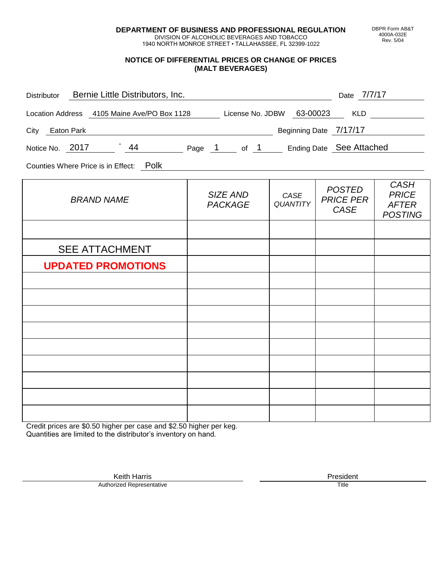**DEPARTMENT OF BUSINESS AND PROFESSIONAL REGULATION** DIVISION OF ALCOHOLIC BEVERAGES AND TOBACCO

1940 NORTH MONROE STREET • TALLAHASSEE, FL 32399-1022

### **NOTICE OF DIFFERENTIAL PRICES OR CHANGE OF PRICES (MALT BEVERAGES)**

| Distributor Bernie Little Distributors, Inc.                              |                            |                         | Date 7/7/17                                      |                                                               |
|---------------------------------------------------------------------------|----------------------------|-------------------------|--------------------------------------------------|---------------------------------------------------------------|
| Location Address 4105 Maine Ave/PO Box 1128 License No. JDBW 63-00023 KLD |                            |                         |                                                  |                                                               |
| City Eaton Park                                                           |                            |                         | Beginning Date 7/17/17                           |                                                               |
| Notice No. 2017 44 Page 1 of 1 Ending Date See Attached                   |                            |                         |                                                  |                                                               |
| Counties Where Price is in Effect: Polk                                   |                            |                         |                                                  |                                                               |
| <b>BRAND NAME</b>                                                         | SIZE AND<br><b>PACKAGE</b> | CASE<br><b>QUANTITY</b> | <b>POSTED</b><br><b>PRICE PER</b><br><b>CASE</b> | <b>CASH</b><br><b>PRICE</b><br><b>AFTER</b><br><b>POSTING</b> |
|                                                                           |                            |                         |                                                  |                                                               |
| <b>SEE ATTACHMENT</b>                                                     |                            |                         |                                                  |                                                               |
| <b>UPDATED PROMOTIONS</b>                                                 |                            |                         |                                                  |                                                               |
|                                                                           |                            |                         |                                                  |                                                               |
|                                                                           |                            |                         |                                                  |                                                               |
|                                                                           |                            |                         |                                                  |                                                               |
|                                                                           |                            |                         |                                                  |                                                               |
|                                                                           |                            |                         |                                                  |                                                               |
|                                                                           |                            |                         |                                                  |                                                               |
|                                                                           |                            |                         |                                                  |                                                               |
|                                                                           |                            |                         |                                                  |                                                               |

Credit prices are \$0.50 higher per case and \$2.50 higher per keg. Quantities are limited to the distributor's inventory on hand.

> Keith Harris **President** President **President** President **President** President **President** Authorized Representative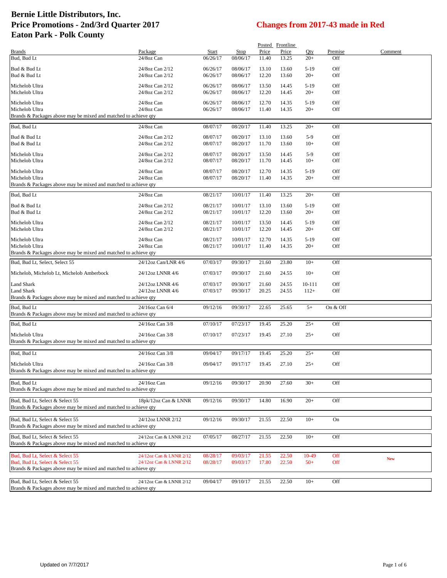|                                                                                                    |                         |          |             |       | Posted Frontline |        |          |            |
|----------------------------------------------------------------------------------------------------|-------------------------|----------|-------------|-------|------------------|--------|----------|------------|
| <b>Brands</b>                                                                                      | Package                 | Start    | <b>Stop</b> | Price | Price            | Qty    | Premise  | Comment    |
| Bud, Bud Lt                                                                                        | 24/8oz Can              | 06/26/17 | 08/06/17    | 11.40 | 13.25            | $20+$  | Off      |            |
|                                                                                                    |                         |          |             |       |                  |        |          |            |
| Bud & Bud Lt                                                                                       | 24/8oz Can 2/12         | 06/26/17 | 08/06/17    | 13.10 | 13.60            | $5-19$ | Off      |            |
| Bud & Bud Lt                                                                                       | 24/8oz Can 2/12         | 06/26/17 | 08/06/17    | 12.20 | 13.60            | $20+$  | Off      |            |
|                                                                                                    |                         |          |             |       |                  |        |          |            |
| Michelob Ultra                                                                                     | 24/8oz Can 2/12         | 06/26/17 | 08/06/17    | 13.50 | 14.45            | $5-19$ | Off      |            |
| Michelob Ultra                                                                                     | 24/8oz Can 2/12         | 06/26/17 | 08/06/17    | 12.20 | 14.45            | $20+$  | Off      |            |
| Michelob Ultra                                                                                     | 24/8oz Can              | 06/26/17 | 08/06/17    | 12.70 | 14.35            | $5-19$ | Off      |            |
|                                                                                                    |                         |          |             |       |                  |        |          |            |
| Michelob Ultra                                                                                     | 24/8oz Can              | 06/26/17 | 08/06/17    | 11.40 | 14.35            | $20+$  | Off      |            |
| Brands & Packages above may be mixed and matched to achieve qty                                    |                         |          |             |       |                  |        |          |            |
| Bud, Bud Lt                                                                                        | 24/8oz Can              | 08/07/17 | 08/20/17    | 11.40 | 13.25            | $20+$  | Off      |            |
|                                                                                                    |                         |          |             |       |                  |        |          |            |
| Bud & Bud Lt                                                                                       | 24/8oz Can 2/12         | 08/07/17 | 08/20/17    | 13.10 | 13.60            | $5-9$  | Off      |            |
| Bud & Bud Lt                                                                                       | 24/8oz Can 2/12         | 08/07/17 | 08/20/17    | 11.70 | 13.60            | $10+$  | Off      |            |
|                                                                                                    |                         |          |             |       |                  |        |          |            |
| Michelob Ultra                                                                                     | 24/8oz Can 2/12         | 08/07/17 | 08/20/17    | 13.50 | 14.45            | $5-9$  | Off      |            |
| Michelob Ultra                                                                                     | 24/8oz Can 2/12         | 08/07/17 | 08/20/17    | 11.70 | 14.45            | $10+$  | Off      |            |
|                                                                                                    |                         |          |             |       |                  |        |          |            |
| Michelob Ultra                                                                                     | 24/8oz Can              | 08/07/17 | 08/20/17    | 12.70 | 14.35            | $5-19$ | Off      |            |
| Michelob Ultra                                                                                     | 24/8oz Can              | 08/07/17 | 08/20/17    | 11.40 | 14.35            | $20+$  | Off      |            |
| Brands & Packages above may be mixed and matched to achieve qty                                    |                         |          |             |       |                  |        |          |            |
|                                                                                                    |                         |          |             |       |                  |        |          |            |
| Bud, Bud Lt                                                                                        | 24/8oz Can              | 08/21/17 | 10/01/17    | 11.40 | 13.25            | $20+$  | Off      |            |
|                                                                                                    |                         |          |             |       |                  |        |          |            |
| Bud & Bud Lt                                                                                       | 24/8oz Can 2/12         | 08/21/17 | 10/01/17    | 13.10 | 13.60            | $5-19$ | Off      |            |
| Bud & Bud Lt                                                                                       | 24/8oz Can 2/12         | 08/21/17 | 10/01/17    | 12.20 | 13.60            | $20+$  | Off      |            |
|                                                                                                    |                         |          |             |       |                  |        |          |            |
| Michelob Ultra                                                                                     | 24/8oz Can 2/12         | 08/21/17 | 10/01/17    | 13.50 | 14.45            | $5-19$ | Off      |            |
| Michelob Ultra                                                                                     | 24/8oz Can 2/12         | 08/21/17 | 10/01/17    | 12.20 | 14.45            | $20+$  | Off      |            |
| Michelob Ultra                                                                                     | 24/8oz Can              | 08/21/17 | 10/01/17    | 12.70 | 14.35            | $5-19$ | Off      |            |
|                                                                                                    |                         |          |             |       |                  |        |          |            |
| Michelob Ultra                                                                                     | 24/8oz Can              | 08/21/17 | 10/01/17    | 11.40 | 14.35            | $20+$  | Off      |            |
| Brands & Packages above may be mixed and matched to achieve qty                                    |                         |          |             |       |                  |        |          |            |
| Bud, Bud Lt, Select, Select 55                                                                     | 24/12oz Can/LNR 4/6     | 07/03/17 | 09/30/17    | 21.60 | 23.80            | $10+$  | Off      |            |
|                                                                                                    |                         |          |             |       |                  |        |          |            |
| Michelob, Michelob Lt, Michelob Amberbock                                                          | 24/12oz LNNR 4/6        | 07/03/17 | 09/30/17    | 21.60 | 24.55            | $10+$  | Off      |            |
|                                                                                                    |                         |          |             |       |                  |        |          |            |
| Land Shark                                                                                         | 24/12oz LNNR 4/6        | 07/03/17 | 09/30/17    | 21.60 | 24.55            | 10-111 | Off      |            |
| Land Shark                                                                                         | 24/12oz LNNR 4/6        | 07/03/17 | 09/30/17    | 20.25 | 24.55            | $112+$ | Off      |            |
| Brands & Packages above may be mixed and matched to achieve qty                                    |                         |          |             |       |                  |        |          |            |
|                                                                                                    |                         |          |             |       |                  |        |          |            |
| Bud, Bud Lt                                                                                        | 24/16oz Can 6/4         | 09/12/16 | 09/30/17    | 22.65 | 25.65            | $5+$   | On & Off |            |
| Brands & Packages above may be mixed and matched to achieve qty                                    |                         |          |             |       |                  |        |          |            |
|                                                                                                    |                         |          |             |       |                  |        |          |            |
| Bud, Bud Lt                                                                                        | 24/16oz Can 3/8         | 07/10/17 | 07/23/17    | 19.45 | 25.20            | $25+$  | Off      |            |
|                                                                                                    |                         |          |             |       |                  |        |          |            |
| Michelob Ultra                                                                                     | 24/16oz Can 3/8         | 07/10/17 | 07/23/17    | 19.45 | 27.10            | $25+$  | Off      |            |
| Brands & Packages above may be mixed and matched to achieve qty                                    |                         |          |             |       |                  |        |          |            |
|                                                                                                    |                         |          |             |       |                  |        |          |            |
| Bud, Bud Lt                                                                                        | 24/16oz Can 3/8         | 09/04/17 | 09/17/17    | 19.45 | 25.20            | $25+$  | Off      |            |
|                                                                                                    |                         |          |             |       |                  |        |          |            |
| Michelob Ultra                                                                                     | 24/16oz Can 3/8         | 09/04/17 | 09/17/17    | 19.45 | 27.10            | $25+$  | Off      |            |
| Brands & Packages above may be mixed and matched to achieve qty                                    |                         |          |             |       |                  |        |          |            |
|                                                                                                    |                         |          |             |       |                  |        |          |            |
|                                                                                                    |                         |          |             |       |                  |        |          |            |
| Bud, Bud Lt                                                                                        | 24/16oz Can             | 09/12/16 | 09/30/17    | 20.90 | 27.60            | $30+$  | Off      |            |
| Brands & Packages above may be mixed and matched to achieve qty                                    |                         |          |             |       |                  |        |          |            |
|                                                                                                    |                         |          |             |       |                  |        |          |            |
| Bud, Bud Lt. Select & Select 55                                                                    | 18pk/12oz Can & LNNR    | 09/12/16 | 09/30/17    | 14.80 | 16.90            | $20+$  | Off      |            |
| Brands & Packages above may be mixed and matched to achieve qty                                    |                         |          |             |       |                  |        |          |            |
|                                                                                                    |                         |          |             |       |                  |        |          |            |
| Bud, Bud Lt, Select & Select 55                                                                    | 24/12oz LNNR 2/12       | 09/12/16 | 09/30/17    | 21.55 | 22.50            | $10+$  | On       |            |
| Brands & Packages above may be mixed and matched to achieve qty                                    |                         |          |             |       |                  |        |          |            |
|                                                                                                    |                         |          |             |       |                  |        |          |            |
| Bud, Bud Lt. Select & Select 55                                                                    | 24/12oz Can & LNNR 2/12 | 07/05/17 | 08/27/17    | 21.55 | 22.50            | $10+$  | Off      |            |
| Brands & Packages above may be mixed and matched to achieve qty                                    |                         |          |             |       |                  |        |          |            |
|                                                                                                    |                         |          |             |       |                  |        |          |            |
| Bud, Bud Lt. Select & Select 55                                                                    | 24/12oz Can & LNNR 2/12 | 08/28/17 | 09/03/17    | 21.55 | 22.50            | 10-49  | Off      |            |
|                                                                                                    |                         |          |             |       |                  | $50+$  |          | <b>New</b> |
| Bud, Bud Lt, Select & Select 55                                                                    | 24/12oz Can & LNNR 2/12 | 08/28/17 | 09/03/17    | 17.80 | 22.50            |        | Off      |            |
| Brands & Packages above may be mixed and matched to achieve qty                                    |                         |          |             |       |                  |        |          |            |
|                                                                                                    |                         |          |             |       |                  |        |          |            |
| Bud, Bud Lt, Select & Select 55<br>Brands & Packages above may be mixed and matched to achieve qty | 24/12oz Can & LNNR 2/12 | 09/04/17 | 09/10/17    | 21.55 | 22.50            | $10+$  | Off      |            |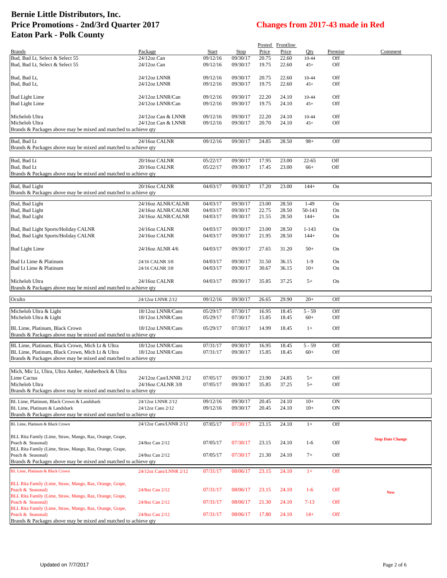|                                                                                                                                                  |                                          |                      |                      |                | Posted Frontline |                     |                 |                         |
|--------------------------------------------------------------------------------------------------------------------------------------------------|------------------------------------------|----------------------|----------------------|----------------|------------------|---------------------|-----------------|-------------------------|
| <b>Brands</b>                                                                                                                                    | Package                                  | Start                | Stop                 | Price          | Price            | Qty                 | Premise         | Comment                 |
| Bud, Bud Lt, Select & Select 55<br>Bud, Bud Lt, Select & Select 55                                                                               | 24/12oz Can<br>24/12oz Can               | 09/12/16<br>09/12/16 | 09/30/17<br>09/30/17 | 20.75<br>19.75 | 22.60<br>22.60   | 10-44<br>$45+$      | Off<br>Off      |                         |
| Bud, Bud Lt,<br>Bud, Bud Lt,                                                                                                                     | 24/12oz LNNR<br>24/12oz LNNR             | 09/12/16<br>09/12/16 | 09/30/17<br>09/30/17 | 20.75<br>19.75 | 22.60<br>22.60   | 10-44<br>$45+$      | Off<br>Off      |                         |
| <b>Bud Light Lime</b><br><b>Bud Light Lime</b>                                                                                                   | 24/12oz LNNR/Can<br>24/12oz LNNR/Can     | 09/12/16<br>09/12/16 | 09/30/17<br>09/30/17 | 22.20<br>19.75 | 24.10<br>24.10   | 10-44<br>$45+$      | Off<br>Off      |                         |
| Michelob Ultra<br>Michelob Ultra<br>Brands & Packages above may be mixed and matched to achieve qty                                              | 24/12oz Can & LNNR<br>24/12oz Can & LNNR | 09/12/16<br>09/12/16 | 09/30/17<br>09/30/17 | 22.20<br>20.70 | 24.10<br>24.10   | 10-44<br>$45+$      | Off<br>Off      |                         |
| Bud, Bud Lt<br>Brands & Packages above may be mixed and matched to achieve qty                                                                   | 24/16oz CALNR                            | 09/12/16             | 09/30/17             | 24.85          | 28.50            | $98+$               | Off             |                         |
| Bud, Bud Lt<br>Bud, Bud Lt<br>Brands & Packages above may be mixed and matched to achieve qty                                                    | 20/16oz CALNR<br>20/16oz CALNR           | 05/22/17<br>05/22/17 | 09/30/17<br>09/30/17 | 17.95<br>17.45 | 23.00<br>23.00   | $22 - 65$<br>$66+$  | Off<br>Off      |                         |
| Bud, Bud Light<br>Brands & Packages above may be mixed and matched to achieve qty                                                                | 20/16oz CALNR                            | 04/03/17             | 09/30/17             | 17.20          | 23.00            | $144+$              | On              |                         |
| Bud, Bud Light                                                                                                                                   | 24/16oz ALNR/CALNR                       | 04/03/17             | 09/30/17             | 23.00          | 28.50            | $1-49$              | On              |                         |
| Bud, Bud Light                                                                                                                                   | 24/16oz ALNR/CALNR                       | 04/03/17             | 09/30/17             | 22.75          | 28.50            | 50-143              | On              |                         |
| Bud, Bud Light                                                                                                                                   | 24/16oz ALNR/CALNR                       | 04/03/17             | 09/30/17             | 21.55          | 28.50            | $144+$              | On              |                         |
| Bud, Bud Light Sports/Holiday CALNR<br>Bud, Bud Light Sports/Holiday CALNR                                                                       | 24/16oz CALNR<br>24/16oz CALNR           | 04/03/17<br>04/03/17 | 09/30/17<br>09/30/17 | 23.00<br>21.95 | 28.50<br>28.50   | $1 - 143$<br>$144+$ | On<br>On        |                         |
| <b>Bud Light Lime</b>                                                                                                                            | 24/16oz ALNR 4/6                         | 04/03/17             | 09/30/17             | 27.65          | 31.20            | $50+$               | On              |                         |
| Bud Lt Lime & Platinum                                                                                                                           | 24/16 CALNR 3/8                          | 04/03/17             | 09/30/17             | 31.50          | 36.15            | $1-9$               | On              |                         |
| Bud Lt Lime & Platinum                                                                                                                           | 24/16 CALNR 3/8                          | 04/03/17             | 09/30/17             | 30.67          | 36.15            | $10+$               | On              |                         |
| Michelob Ultra<br>Brands & Packages above may be mixed and matched to achieve qty                                                                | 24/16oz CALNR                            | 04/03/17             | 09/30/17             | 35.85          | 37.25            | $5+$                | On              |                         |
| Oculto                                                                                                                                           | 24/12oz LNNR 2/12                        | 09/12/16             | 09/30/17             | 26.65          | 29.90            | $20+$               | Off             |                         |
| Michelob Ultra & Light                                                                                                                           | 18/12oz LNNR/Cans                        | 05/29/17             | 07/30/17             | 16.95          | 18.45            | $5 - 59$            | Off             |                         |
| Michelob Ultra & Light                                                                                                                           | 18/12oz LNNR/Cans                        | 05/29/17             | 07/30/17             | 15.85          | 18.45            | $60+$               | Off             |                         |
| BL Lime, Platinum, Black Crown<br>Brands & Packages above may be mixed and matched to achieve qty                                                | 18/12oz LNNR/Cans                        | 05/29/17             | 07/30/17             | 14.99          | 18.45            | $1+$                | Off             |                         |
| BL Lime, Platinum, Black Crown, Mich Lt & Ultra                                                                                                  | 18/12oz LNNR/Cans                        | 07/31/17             | 09/30/17             | 16.95          | 18.45            | $5 - 59$            | Off             |                         |
| BL Lime, Platinum, Black Crown, Mich Lt & Ultra<br>Brands & Packages above may be mixed and matched to achieve qty                               | 18/12oz LNNR/Cans                        | 07/31/17             | 09/30/17             | 15.85          | 18.45            | $60+$               | Off             |                         |
| Mich, Mic Lt, Ultra, Ultra Amber, Amberbock & Ultra                                                                                              |                                          |                      |                      |                |                  |                     |                 |                         |
| Lime Cactus                                                                                                                                      | 24/12oz Can/LNNR 2/12                    | 07/05/17             | 09/30/17             | 23.90          | 24.85            | $5+$                | Off             |                         |
| Michelob Ultra                                                                                                                                   | 24/16oz CALNR 3/8                        | 07/05/17             | 09/30/17             | 35.85          | 37.25            | $5+$                | Off             |                         |
| Brands & Packages above may be mixed and matched to achieve qty                                                                                  |                                          |                      |                      |                |                  |                     |                 |                         |
| BL Lime, Platinum, Black Crown & Landshark<br>BL Lime, Platinum & Landshark                                                                      | 24/12oz LNNR 2/12<br>24/12oz Cans 2/12   | 09/12/16<br>09/12/16 | 09/30/17<br>09/30/17 | 20.45<br>20.45 | 24.10<br>24.10   | $10+$<br>$10+$      | <b>ON</b><br>ON |                         |
| Brands & Packages above may be mixed and matched to achieve qty                                                                                  |                                          |                      |                      |                |                  |                     |                 |                         |
| BL Lime, Platinum & Black Crown                                                                                                                  | 24/12oz Cans/LNNR 2/12                   | 07/05/17             | 07/30/17             | 23.15          | 24.10            | $1+$                | Off             |                         |
| BLL Rita Family (Lime, Straw, Mango, Raz, Orange, Grape,<br>Peach & Seasonal)                                                                    | 24/8oz Can 2/12                          | 07/05/17             | 07/30/17             | 23.15          | 24.10            | $1-6$               | Off             | <b>Stop Date Change</b> |
| BLL Rita Family (Lime, Straw, Mango, Raz, Orange, Grape,<br>Peach & Seasonal)<br>Brands & Packages above may be mixed and matched to achieve qty | 24/8oz Can 2/12                          | 07/05/17             | 07/30/17             | 21.30          | 24.10            | $7+$                | Off             |                         |
|                                                                                                                                                  |                                          |                      |                      |                |                  |                     |                 |                         |
| BL Lime, Platinum & Black Crown<br>BLL Rita Family (Lime, Straw, Mango, Raz, Orange, Grape,                                                      | 24/12oz Cans/LNNR 2/12                   | 07/31/17             | 08/06/17             | 23.15          | 24.10            | $1+$                | Off             |                         |
| Peach & Seasonal)<br>BLL Rita Family (Lime, Straw, Mango, Raz, Orange, Grape,                                                                    | 24/8oz Can 2/12                          | 07/31/17             | 08/06/17             | 23.15          | 24.10            | $1-6$               | Off             | <b>New</b>              |
| Peach & Seasonal)<br>BLL Rita Family (Lime, Straw, Mango, Raz, Orange, Grape,                                                                    | 24/8oz Can 2/12                          | 07/31/17             | 08/06/17             | 21.30          | 24.10            | $7-13$              | Off             |                         |
| Peach & Seasonal)<br>Brands & Packages above may be mixed and matched to achieve qty                                                             | 24/8oz Can 2/12                          | 07/31/17             | 08/06/17             | 17.80          | 24.10            | $14+$               | Off             |                         |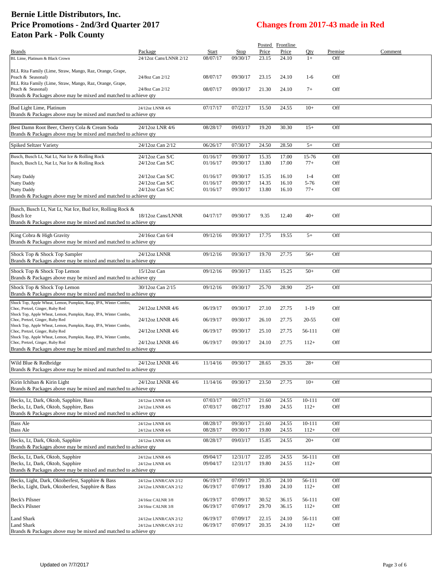|                                                                                                      |                                                |                      |                      |                | Posted Frontline |                  |            |         |
|------------------------------------------------------------------------------------------------------|------------------------------------------------|----------------------|----------------------|----------------|------------------|------------------|------------|---------|
| Brands                                                                                               | Package                                        | Start                | Stop                 | Price          | Price            | Qty              | Premise    | Comment |
| BL Lime, Platinum & Black Crown                                                                      | 24/12oz Cans/LNNR 2/12                         | 08/07/17             | 09/30/17             | 23.15          | 24.10            | $1+$             | Off        |         |
| BLL Rita Family (Lime, Straw, Mango, Raz, Orange, Grape,                                             |                                                |                      |                      |                |                  |                  |            |         |
| Peach & Seasonal)                                                                                    | 24/8oz Can 2/12                                | 08/07/17             | 09/30/17             | 23.15          | 24.10            | $1-6$            | Off        |         |
| BLL Rita Family (Lime, Straw, Mango, Raz, Orange, Grape,                                             |                                                |                      |                      |                |                  |                  |            |         |
| Peach & Seasonal)                                                                                    | 24/8oz Can 2/12                                | 08/07/17             | 09/30/17             | 21.30          | 24.10            | $7+$             | Off        |         |
| Brands & Packages above may be mixed and matched to achieve qty                                      |                                                |                      |                      |                |                  |                  |            |         |
| Bud Light Lime, Platinum                                                                             | 24/12oz LNNR 4/6                               | 07/17/17             | 07/22/17             | 15.50          | 24.55            | $10+$            | Off        |         |
| Brands & Packages above may be mixed and matched to achieve qty                                      |                                                |                      |                      |                |                  |                  |            |         |
|                                                                                                      |                                                |                      |                      |                |                  |                  |            |         |
| Best Damn Root Beer, Cherry Cola & Cream Soda                                                        | 24/12oz LNR 4/6                                | 08/28/17             | 09/03/17             | 19.20          | 30.30            | $15+$            | Off        |         |
| Brands & Packages above may be mixed and matched to achieve qty                                      |                                                |                      |                      |                |                  |                  |            |         |
| <b>Spiked Seltzer Variety</b>                                                                        | 24/12oz Can 2/12                               | 06/26/17             | 07/30/17             | 24.50          | 28.50            | $5+$             | Off        |         |
| Busch, Busch Lt, Nat Lt, Nat Ice & Rolling Rock                                                      | 24/12oz Can S/C                                | 01/16/17             | 09/30/17             | 15.35          | 17.00            | 15-76            | Off        |         |
| Busch, Busch Lt, Nat Lt, Nat Ice & Rolling Rock                                                      | $24/12$ oz Can S/C                             | 01/16/17             | 09/30/17             | 13.80          | 17.00            | $77+$            | Off        |         |
|                                                                                                      |                                                |                      |                      |                |                  |                  |            |         |
| Natty Daddy                                                                                          | $24/12$ oz Can S/C                             | 01/16/17             | 09/30/17             | 15.35          | 16.10            | $1 - 4$          | Off        |         |
| Natty Daddy                                                                                          | $24/12$ oz Can S/C                             | 01/16/17             | 09/30/17             | 14.35          | 16.10            | 5-76             | Off        |         |
| Natty Daddy                                                                                          | $24/12$ oz Can S/C                             | 01/16/17             | 09/30/17             | 13.80          | 16.10            | $77+$            | Off        |         |
| Brands & Packages above may be mixed and matched to achieve qty                                      |                                                |                      |                      |                |                  |                  |            |         |
| Busch, Busch Lt, Nat Lt, Nat Ice, Bud Ice, Rolling Rock &                                            |                                                |                      |                      |                |                  |                  |            |         |
| <b>Busch Ice</b>                                                                                     | 18/12oz Cans/LNNR                              | 04/17/17             | 09/30/17             | 9.35           | 12.40            | $40+$            | Off        |         |
| Brands & Packages above may be mixed and matched to achieve qty                                      |                                                |                      |                      |                |                  |                  |            |         |
|                                                                                                      |                                                |                      |                      |                |                  |                  |            |         |
| King Cobra & High Gravity                                                                            | 24/16oz Can 6/4                                | 09/12/16             | 09/30/17             | 17.75          | 19.55            | $5+$             | Off        |         |
| Brands & Packages above may be mixed and matched to achieve qty                                      |                                                |                      |                      |                |                  |                  |            |         |
| Shock Top & Shock Top Sampler                                                                        | 24/12oz LNNR                                   | 09/12/16             | 09/30/17             | 19.70          | 27.75            | $56+$            | Off        |         |
| Brands & Packages above may be mixed and matched to achieve qty                                      |                                                |                      |                      |                |                  |                  |            |         |
|                                                                                                      |                                                |                      |                      |                |                  |                  |            |         |
| Shock Top & Shock Top Lemon                                                                          | 15/12oz Can                                    | 09/12/16             | 09/30/17             | 13.65          | 15.25            | $50+$            | Off        |         |
| Brands & Packages above may be mixed and matched to achieve qty                                      |                                                |                      |                      |                |                  |                  |            |         |
| Shock Top & Shock Top Lemon                                                                          | 30/12oz Can 2/15                               | 09/12/16             | 09/30/17             | 25.70          | 28.90            | $25+$            | Off        |         |
| Brands & Packages above may be mixed and matched to achieve qty                                      |                                                |                      |                      |                |                  |                  |            |         |
| Shock Top, Apple Wheat, Lemon, Pumpkin, Rasp, IPA, Winter Combo,                                     |                                                |                      |                      |                |                  |                  |            |         |
| Choc, Pretzel, Ginger, Ruby Red<br>Shock Top, Apple Wheat, Lemon, Pumpkin, Rasp, IPA, Winter Combo,  | 24/12oz LNNR 4/6                               | 06/19/17             | 09/30/17             | 27.10          | 27.75            | $1-19$           | Off        |         |
| Choc, Pretzel, Ginger, Ruby Red                                                                      | 24/12oz LNNR 4/6                               | 06/19/17             | 09/30/17             | 26.10          | 27.75            | 20-55            | Off        |         |
| Shock Top, Apple Wheat, Lemon, Pumpkin, Rasp, IPA, Winter Combo,                                     |                                                |                      |                      |                |                  |                  |            |         |
| Choc, Pretzel, Ginger, Ruby Red                                                                      | 24/12oz LNNR 4/6                               | 06/19/17             | 09/30/17             | 25.10          | 27.75            | 56-111           | <b>Off</b> |         |
| Shock Top, Apple Wheat, Lemon, Pumpkin, Rasp, IPA, Winter Combo,<br>Choc, Pretzel, Ginger, Ruby Red  | 24/12oz LNNR 4/6                               | 06/19/17             | 09/30/17             | 24.10          | 27.75            | $112+$           | Off        |         |
| Brands & Packages above may be mixed and matched to achieve qty                                      |                                                |                      |                      |                |                  |                  |            |         |
|                                                                                                      |                                                |                      |                      |                |                  |                  |            |         |
| Wild Blue & Redbridge                                                                                | 24/12oz LNNR 4/6                               | 11/14/16             | 09/30/17             | 28.65          | 29.35            | $28+$            | Off        |         |
| Brands & Packages above may be mixed and matched to achieve qty                                      |                                                |                      |                      |                |                  |                  |            |         |
|                                                                                                      | 24/12oz LNNR 4/6                               |                      |                      |                |                  |                  |            |         |
| Kirin Ichiban & Kirin Light<br>Brands & Packages above may be mixed and matched to achieve qty       |                                                | 11/14/16             | 09/30/17             | 23.50          | 27.75            | $10+$            | Off        |         |
|                                                                                                      |                                                |                      |                      |                |                  |                  |            |         |
| Becks, Lt, Dark, Oktob, Sapphire, Bass                                                               | 24/12oz LNNR 4/6                               | 07/03/17             | 08/27/17             | 21.60          | 24.55            | 10-111           | Off        |         |
| Becks, Lt, Dark, Oktob, Sapphire, Bass                                                               | 24/12oz LNNR 4/6                               | 07/03/17             | 08/27/17             | 19.80          | 24.55            | $112+$           | Off        |         |
| Brands & Packages above may be mixed and matched to achieve qty                                      |                                                |                      |                      |                |                  |                  |            |         |
| <b>Bass Ale</b>                                                                                      | 24/12oz LNNR 4/6                               | 08/28/17             | 09/30/17             | 21.60          | 24.55            | 10-111           | Off        |         |
| <b>Bass Ale</b>                                                                                      | 24/12oz LNNR 4/6                               | 08/28/17             | 09/30/17             | 19.80          | 24.55            | $112+$           | Off        |         |
| Becks, Lt, Dark, Oktob, Sapphire                                                                     | 24/12oz LNNR 4/6                               | 08/28/17             | 09/03/17             | 15.85          | 24.55            | $20+$            | Off        |         |
| Brands & Packages above may be mixed and matched to achieve qty                                      |                                                |                      |                      |                |                  |                  |            |         |
| Becks, Lt, Dark, Oktob, Sapphire                                                                     | 24/12oz LNNR 4/6                               | 09/04/17             | 12/31/17             | 22.05          | 24.55            | 56-111           | Off        |         |
| Becks, Lt, Dark, Oktob, Sapphire                                                                     | 24/12oz LNNR 4/6                               | 09/04/17             | 12/31/17             | 19.80          | 24.55            | $112+$           | Off        |         |
| Brands & Packages above may be mixed and matched to achieve qty                                      |                                                |                      |                      |                |                  |                  |            |         |
|                                                                                                      |                                                |                      |                      |                |                  |                  |            |         |
| Becks, Light, Dark, Oktoberfest, Sapphire & Bass<br>Becks, Light, Dark, Oktoberfest, Sapphire & Bass | 24/12oz LNNR/CAN 2/12<br>24/12oz LNNR/CAN 2/12 | 06/19/17<br>06/19/17 | 07/09/17<br>07/09/17 | 20.35<br>19.80 | 24.10<br>24.10   | 56-111<br>$112+$ | Off<br>Off |         |
|                                                                                                      |                                                |                      |                      |                |                  |                  |            |         |
| Beck's Pilsner                                                                                       | 24/16oz CALNR 3/8                              | 06/19/17             | 07/09/17             | 30.52          | 36.15            | 56-111           | Off        |         |
| Beck's Pilsner                                                                                       | 24/16oz CALNR 3/8                              | 06/19/17             | 07/09/17             | 29.70          | 36.15            | $112+$           | Off        |         |
|                                                                                                      |                                                |                      |                      |                |                  |                  |            |         |
| Land Shark<br><b>Land Shark</b>                                                                      | 24/12oz LNNR/CAN 2/12                          | 06/19/17             | 07/09/17             | 22.15<br>20.35 | 24.10            | 56-111<br>$112+$ | Off<br>Off |         |
| Brands & Packages above may be mixed and matched to achieve qty                                      | 24/12oz LNNR/CAN 2/12                          | 06/19/17             | 07/09/17             |                | 24.10            |                  |            |         |
|                                                                                                      |                                                |                      |                      |                |                  |                  |            |         |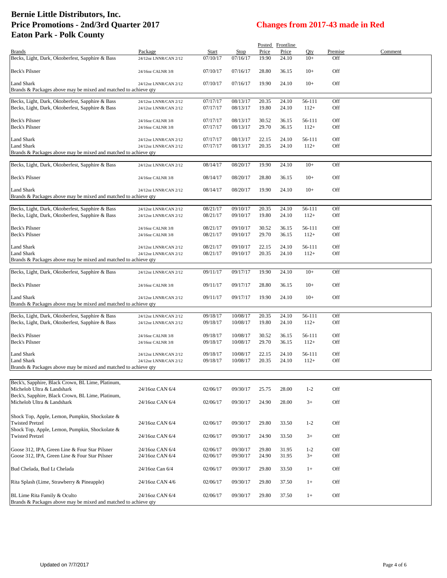|                                                                                                 |                                        |                      |                      |                | Posted Frontline |                  |            |         |
|-------------------------------------------------------------------------------------------------|----------------------------------------|----------------------|----------------------|----------------|------------------|------------------|------------|---------|
| <b>Brands</b>                                                                                   | Package                                | <b>Start</b>         | <b>Stop</b>          | Price          | Price            | Qty              | Premise    | Comment |
| Becks, Light, Dark, Oktoberfest, Sapphire & Bass                                                | 24/12oz LNNR/CAN 2/12                  | 07/10/17             | 07/16/17             | 19.90          | 24.10            | $10+$            | Off        |         |
| <b>Beck's Pilsner</b>                                                                           | 24/16oz CALNR 3/8                      | 07/10/17             | 07/16/17             | 28.80          | 36.15            | $10+$            | Off        |         |
| Land Shark                                                                                      | 24/12oz LNNR/CAN 2/12                  | 07/10/17             | 07/16/17             | 19.90          | 24.10            | $10+$            | Off        |         |
| Brands & Packages above may be mixed and matched to achieve qty                                 |                                        |                      |                      |                |                  |                  |            |         |
|                                                                                                 |                                        |                      |                      |                |                  |                  |            |         |
| Becks, Light, Dark, Oktoberfest, Sapphire & Bass                                                | 24/12oz LNNR/CAN 2/12                  | 07/17/17             | 08/13/17             | 20.35          | 24.10            | 56-111           | Off        |         |
| Becks, Light, Dark, Oktoberfest, Sapphire & Bass                                                | 24/12oz LNNR/CAN 2/12                  | 07/17/17             | 08/13/17             | 19.80          | 24.10            | $112+$           | Off        |         |
|                                                                                                 |                                        |                      |                      |                |                  |                  |            |         |
| Beck's Pilsner<br>Beck's Pilsner                                                                | 24/16oz CALNR 3/8<br>24/16oz CALNR 3/8 | 07/17/17<br>07/17/17 | 08/13/17<br>08/13/17 | 30.52<br>29.70 | 36.15<br>36.15   | 56-111<br>$112+$ | Off<br>Off |         |
|                                                                                                 |                                        |                      |                      |                |                  |                  |            |         |
| Land Shark                                                                                      | 24/12oz LNNR/CAN 2/12                  | 07/17/17             | 08/13/17             | 22.15          | 24.10            | 56-111           | Off        |         |
| Land Shark                                                                                      | 24/12oz LNNR/CAN 2/12                  | 07/17/17             | 08/13/17             | 20.35          | 24.10            | $112+$           | Off        |         |
| Brands & Packages above may be mixed and matched to achieve qty                                 |                                        |                      |                      |                |                  |                  |            |         |
|                                                                                                 |                                        |                      |                      |                | 24.10            | $10+$            | Off        |         |
| Becks, Light, Dark, Oktoberfest, Sapphire & Bass                                                | 24/12oz LNNR/CAN 2/12                  | 08/14/17             | 08/20/17             | 19.90          |                  |                  |            |         |
| Beck's Pilsner                                                                                  | 24/16oz CALNR 3/8                      | 08/14/17             | 08/20/17             | 28.80          | 36.15            | $10+$            | Off        |         |
| Land Shark                                                                                      | 24/12oz LNNR/CAN 2/12                  | 08/14/17             | 08/20/17             | 19.90          | 24.10            | $10+$            | Off        |         |
| Brands & Packages above may be mixed and matched to achieve qty                                 |                                        |                      |                      |                |                  |                  |            |         |
| Becks, Light, Dark, Oktoberfest, Sapphire & Bass                                                | 24/12oz LNNR/CAN 2/12                  | 08/21/17             | 09/10/17             | 20.35          | 24.10            | 56-111           | Off        |         |
| Becks, Light, Dark, Oktoberfest, Sapphire & Bass                                                | 24/12oz LNNR/CAN 2/12                  | 08/21/17             | 09/10/17             | 19.80          | 24.10            | $112+$           | Off        |         |
|                                                                                                 |                                        |                      |                      |                |                  |                  |            |         |
| Beck's Pilsner                                                                                  | 24/16oz CALNR 3/8                      | 08/21/17             | 09/10/17             | 30.52          | 36.15            | 56-111           | Off        |         |
| Beck's Pilsner                                                                                  | 24/16oz CALNR 3/8                      | 08/21/17             | 09/10/17             | 29.70          | 36.15            | $112+$           | Off        |         |
|                                                                                                 |                                        |                      |                      |                |                  |                  |            |         |
| <b>Land Shark</b><br>Land Shark                                                                 | 24/12oz LNNR/CAN 2/12                  | 08/21/17<br>08/21/17 | 09/10/17<br>09/10/17 | 22.15<br>20.35 | 24.10<br>24.10   | 56-111<br>$112+$ | Off<br>Off |         |
| Brands & Packages above may be mixed and matched to achieve qty                                 | 24/12oz LNNR/CAN 2/12                  |                      |                      |                |                  |                  |            |         |
|                                                                                                 |                                        |                      |                      |                |                  |                  |            |         |
| Becks, Light, Dark, Oktoberfest, Sapphire & Bass                                                | 24/12oz LNNR/CAN 2/12                  | 09/11/17             | 09/17/17             | 19.90          | 24.10            | $10+$            | Off        |         |
| Beck's Pilsner                                                                                  | 24/16oz CALNR 3/8                      | 09/11/17             | 09/17/17             | 28.80          | 36.15            | $10+$            | Off        |         |
| Land Shark                                                                                      | 24/12oz LNNR/CAN 2/12                  | 09/11/17             | 09/17/17             | 19.90          | 24.10            | $10+$            | Off        |         |
| Brands & Packages above may be mixed and matched to achieve qty                                 |                                        |                      |                      |                |                  |                  |            |         |
|                                                                                                 |                                        |                      |                      |                |                  |                  |            |         |
| Becks, Light, Dark, Oktoberfest, Sapphire & Bass                                                | 24/12oz LNNR/CAN 2/12                  | 09/18/17             | 10/08/17             | 20.35          | 24.10            | 56-111           | Off        |         |
| Becks, Light, Dark, Oktoberfest, Sapphire & Bass                                                | 24/12oz LNNR/CAN 2/12                  | 09/18/17             | 10/08/17             | 19.80          | 24.10            | $112+$           | Off        |         |
| Beck's Pilsner                                                                                  | 24/16oz CALNR 3/8                      | 09/18/17             | 10/08/17             | 30.52          | 36.15            | 56-111           | Off        |         |
| Beck's Pilsner                                                                                  | 24/16oz CALNR 3/8                      | 09/18/17             | 10/08/17             | 29.70          | 36.15            | $112+$           | Off        |         |
|                                                                                                 |                                        |                      |                      |                |                  |                  |            |         |
| Land Shark                                                                                      | 24/12oz LNNR/CAN 2/12                  | 09/18/17             | 10/08/17             | 22.15          | 24.10            | 56-111           | Off        |         |
| <b>Land Shark</b>                                                                               | 24/12oz LNNR/CAN 2/12                  | 09/18/17             | 10/08/17             | 20.35          | 24.10            | $112+$           | Off        |         |
| Brands & Packages above may be mixed and matched to achieve qty                                 |                                        |                      |                      |                |                  |                  |            |         |
|                                                                                                 |                                        |                      |                      |                |                  |                  |            |         |
| Beck's, Sapphire, Black Crown, BL Lime, Platinum,                                               |                                        |                      |                      |                |                  |                  |            |         |
| Michelob Ultra & Landshark                                                                      | 24/16oz CAN 6/4                        | 02/06/17             | 09/30/17             | 25.75          | 28.00            | $1-2$            | Off        |         |
| Beck's, Sapphire, Black Crown, BL Lime, Platinum,<br>Michelob Ultra & Landshark                 | 24/16oz CAN 6/4                        | 02/06/17             | 09/30/17             | 24.90          | 28.00            | $3+$             | Off        |         |
|                                                                                                 |                                        |                      |                      |                |                  |                  |            |         |
| Shock Top, Apple, Lemon, Pumpkin, Shockolate &                                                  |                                        |                      |                      |                |                  |                  |            |         |
| <b>Twisted Pretzel</b>                                                                          | 24/16oz CAN 6/4                        | 02/06/17             | 09/30/17             | 29.80          | 33.50            | $1 - 2$          | Off        |         |
| Shock Top, Apple, Lemon, Pumpkin, Shockolate &                                                  |                                        |                      |                      |                |                  |                  |            |         |
| <b>Twisted Pretzel</b>                                                                          | 24/16oz CAN 6/4                        | 02/06/17             | 09/30/17             | 24.90          | 33.50            | $3+$             | Off        |         |
|                                                                                                 |                                        |                      |                      |                |                  |                  |            |         |
| Goose 312, IPA, Green Line & Four Star Pilsner                                                  | 24/16oz CAN 6/4                        | 02/06/17             | 09/30/17             | 29.80          | 31.95            | $1-2$            | Off        |         |
| Goose 312, IPA, Green Line & Four Star Pilsner                                                  | 24/16oz CAN 6/4                        | 02/06/17             | 09/30/17             | 24.90          | 31.95            | $3+$             | Off        |         |
| Bud Chelada, Bud Lt Chelada                                                                     | 24/16oz Can 6/4                        | 02/06/17             | 09/30/17             | 29.80          | 33.50            | $1+$             | Off        |         |
|                                                                                                 |                                        |                      |                      |                |                  |                  |            |         |
| Rita Splash (Lime, Strawberry & Pineapple)                                                      | 24/16oz CAN 4/6                        | 02/06/17             | 09/30/17             | 29.80          | 37.50            | $1+$             | Off        |         |
|                                                                                                 |                                        |                      |                      |                |                  |                  |            |         |
| BL Lime Rita Family & Oculto<br>Brands & Packages above may be mixed and matched to achieve qty | 24/16oz CAN 6/4                        | 02/06/17             | 09/30/17             | 29.80          | 37.50            | $1+$             | Off        |         |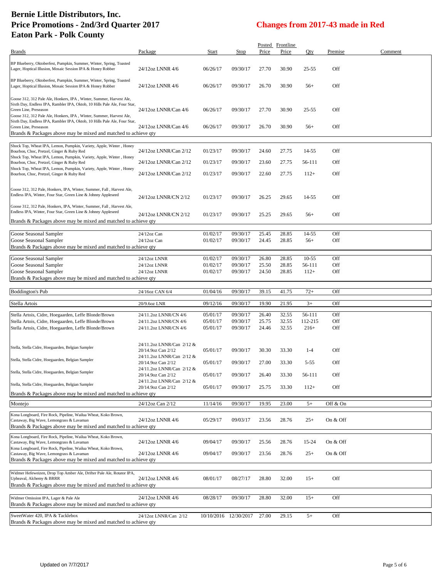|                                                                                                                                                                                                                                                  |                                                 |          |                       |       | Posted Frontline |           |          |         |
|--------------------------------------------------------------------------------------------------------------------------------------------------------------------------------------------------------------------------------------------------|-------------------------------------------------|----------|-----------------------|-------|------------------|-----------|----------|---------|
| Brands                                                                                                                                                                                                                                           | Package                                         | Start    | Stop                  | Price | Price            | Oty       | Premise  | Comment |
| BP Blueberry, Oktoberfest, Pumpkin, Summer, Winter, Spring, Toasted<br>Lager, Hoptical Illusion, Mosaic Session IPA & Honey Robber                                                                                                               | 24/12oz LNNR 4/6                                | 06/26/17 | 09/30/17              | 27.70 | 30.90            | 25-55     | Off      |         |
| BP Blueberry, Oktoberfest, Pumpkin, Summer, Winter, Spring, Toasted<br>Lager, Hoptical Illusion, Mosaic Session IPA & Honey Robber                                                                                                               | 24/12oz LNNR 4/6                                | 06/26/17 | 09/30/17              | 26.70 | 30.90            | $56+$     | Off      |         |
| Goose 312, 312 Pale Ale, Honkers, IPA, Winter, Summer, Harvest Ale,<br>Sixth Day, Endless IPA, Rambler IPA, Oktob, 10 Hills Pale Ale, Four Star,<br>Green Line, Preseason<br>Goose 312, 312 Pale Ale, Honkers, IPA, Winter, Summer, Harvest Ale, | 24/12oz LNNR/Can 4/6                            | 06/26/17 | 09/30/17              | 27.70 | 30.90            | 25-55     | Off      |         |
| Sixth Day, Endless IPA, Rambler IPA, Oktob, 10 Hills Pale Ale, Four Star,<br>Green Line, Preseason<br>Brands & Packages above may be mixed and matched to achieve qty                                                                            | 24/12oz LNNR/Can 4/6                            | 06/26/17 | 09/30/17              | 26.70 | 30.90            | $56+$     | Off      |         |
| Shock Top, Wheat IPA, Lemon, Pumpkin, Variety, Apple, Winter, Honey<br>Bourbon, Choc, Pretzel, Ginger & Ruby Red                                                                                                                                 | 24/12oz LNNR/Can 2/12                           | 01/23/17 | 09/30/17              | 24.60 | 27.75            | 14-55     | Off      |         |
| Shock Top, Wheat IPA, Lemon, Pumpkin, Variety, Apple, Winter, Honey<br>Bourbon, Choc, Pretzel, Ginger & Ruby Red                                                                                                                                 | 24/12oz LNNR/Can 2/12                           | 01/23/17 | 09/30/17              | 23.60 | 27.75            | 56-111    | Off      |         |
| Shock Top, Wheat IPA, Lemon, Pumpkin, Variety, Apple, Winter, Honey<br>Bourbon, Choc, Pretzel, Ginger & Ruby Red                                                                                                                                 | 24/12oz LNNR/Can 2/12                           | 01/23/17 | 09/30/17              | 22.60 | 27.75            | $112+$    | Off      |         |
| Goose 312, 312 Pale, Honkers, IPA, Winter, Summer, Fall, Harvest Ale,<br>Endless IPA, Winter, Four Star, Green Line & Johnny Appleseed                                                                                                           | 24/12oz LNNR/CN 2/12                            | 01/23/17 | 09/30/17              | 26.25 | 29.65            | 14-55     | Off      |         |
| Goose 312, 312 Pale, Honkers, IPA, Winter, Summer, Fall, Harvest Ale,<br>Endless IPA, Winter, Four Star, Green Line & Johnny Appleseed<br>Brands & Packages above may be mixed and matched to achieve qty                                        | 24/12oz LNNR/CN 2/12                            | 01/23/17 | 09/30/17              | 25.25 | 29.65            | $56+$     | Off      |         |
|                                                                                                                                                                                                                                                  |                                                 |          |                       |       |                  |           |          |         |
| Goose Seasonal Sampler                                                                                                                                                                                                                           | 24/12oz Can                                     | 01/02/17 | 09/30/17              | 25.45 | 28.85            | 14-55     | Off      |         |
| Goose Seasonal Sampler<br>Brands & Packages above may be mixed and matched to achieve qty                                                                                                                                                        | $24/12$ oz Can                                  | 01/02/17 | 09/30/17              | 24.45 | 28.85            | $56+$     | Off      |         |
| Goose Seasonal Sampler                                                                                                                                                                                                                           | 24/12oz LNNR                                    | 01/02/17 | 09/30/17              | 26.80 | 28.85            | $10 - 55$ | Off      |         |
| Goose Seasonal Sampler                                                                                                                                                                                                                           | 24/12oz LNNR                                    | 01/02/17 | 09/30/17              | 25.50 | 28.85            | 56-111    | Off      |         |
| Goose Seasonal Sampler<br>Brands & Packages above may be mixed and matched to achieve qty                                                                                                                                                        | 24/12oz LNNR                                    | 01/02/17 | 09/30/17              | 24.50 | 28.85            | $112+$    | Off      |         |
|                                                                                                                                                                                                                                                  |                                                 |          |                       |       |                  |           |          |         |
| Boddington's Pub                                                                                                                                                                                                                                 | 24/16oz CAN 6/4                                 | 01/04/16 | 09/30/17              | 39.15 | 41.75            | $72+$     | Off      |         |
| Stella Artois                                                                                                                                                                                                                                    | 20/9.6oz LNR                                    | 09/12/16 | 09/30/17              | 19.90 | 21.95            | $3+$      | Off      |         |
| Stella Artois, Cidre, Hoegaarden, Leffe Blonde/Brown                                                                                                                                                                                             | 24/11.2oz LNNR/CN 4/6                           | 05/01/17 | 09/30/17              | 26.40 | 32.55            | 56-111    | Off      |         |
| Stella Artois, Cidre, Hoegaarden, Leffe Blonde/Brown                                                                                                                                                                                             | 24/11.2oz LNNR/CN 4/6                           | 05/01/17 | 09/30/17              | 25.75 | 32.55            | 112-215   | Off      |         |
| Stella Artois, Cidre, Hoegaarden, Leffe Blonde/Brown                                                                                                                                                                                             | 24/11.2oz LNNR/CN 4/6                           | 05/01/17 | 09/30/17              | 24.46 | 32.55            | $216+$    | Off      |         |
|                                                                                                                                                                                                                                                  |                                                 |          |                       |       |                  |           |          |         |
| Stella, Stella Cidre, Hoegaarden, Belgian Sampler                                                                                                                                                                                                | 24/11.2oz LNNR/Can 2/12 &<br>20/14.9oz Can 2/12 | 05/01/17 | 09/30/17              | 30.30 | 33.30            | $1-4$     | Off      |         |
| Stella, Stella Cidre, Hoegaarden, Belgian Sampler                                                                                                                                                                                                | 24/11.2oz LNNR/Can 2/12 &<br>20/14.9oz Can 2/12 | 05/01/17 | 09/30/17              | 27.00 | 33.30            | 5-55      | Off      |         |
| Stella, Stella Cidre, Hoegaarden, Belgian Sampler                                                                                                                                                                                                | 24/11.2oz LNNR/Can 2/12 &<br>20/14.9oz Can 2/12 | 05/01/17 | 09/30/17              | 26.40 | 33.30            | 56-111    | Off      |         |
| Stella, Stella Cidre, Hoegaarden, Belgian Sampler                                                                                                                                                                                                | 24/11.2oz LNNR/Can 2/12 &<br>20/14.9oz Can 2/12 | 05/01/17 | 09/30/17              | 25.75 | 33.30            | $112+$    | Off      |         |
| Brands & Packages above may be mixed and matched to achieve qty                                                                                                                                                                                  |                                                 |          |                       |       |                  |           |          |         |
| Montejo                                                                                                                                                                                                                                          | 24/12oz Can 2/12                                | 11/14/16 | 09/30/17              | 19.95 | 23.00            | $5+$      | Off & On |         |
| Kona Longboard, Fire Rock, Pipeline, Wailua Wheat, Koko Brown,<br>Castaway, Big Wave, Lemongrass & Lavaman                                                                                                                                       | 24/12oz LNNR 4/6                                | 05/29/17 | 09/03/17              | 23.56 | 28.76            | $25+$     | On & Off |         |
| Brands & Packages above may be mixed and matched to achieve qty                                                                                                                                                                                  |                                                 |          |                       |       |                  |           |          |         |
| Kona Longboard, Fire Rock, Pipeline, Wailua Wheat, Koko Brown,<br>Castaway, Big Wave, Lemongrass & Lavaman                                                                                                                                       | 24/12oz LNNR 4/6                                | 09/04/17 | 09/30/17              | 25.56 | 28.76            | 15-24     | On & Off |         |
| Kona Longboard, Fire Rock, Pipeline, Wailua Wheat, Koko Brown,                                                                                                                                                                                   |                                                 |          |                       |       |                  |           |          |         |
| Castaway, Big Wave, Lemongrass & Lavaman<br>Brands & Packages above may be mixed and matched to achieve qty                                                                                                                                      | 24/12oz LNNR 4/6                                | 09/04/17 | 09/30/17              | 23.56 | 28.76            | $25+$     | On & Off |         |
| Widmer Hefeweizen, Drop Top Amber Ale, Drifter Pale Ale, Rotator IPA,<br>Upheaval, Alchemy & BRRR                                                                                                                                                | 24/12oz LNNR 4/6                                | 08/01/17 | 08/27/17              | 28.80 | 32.00            | $15+$     | Off      |         |
| Brands & Packages above may be mixed and matched to achieve qty<br>Widmer Omission IPA, Lager & Pale Ale                                                                                                                                         | 24/12oz LNNR 4/6                                | 08/28/17 | 09/30/17              | 28.80 | 32.00            | $15+$     | Off      |         |
| Brands & Packages above may be mixed and matched to achieve qty<br>SweetWater 420, IPA & Tacklebox                                                                                                                                               | 24/12oz LNNR/Can 2/12                           |          | 10/10/2016 12/30/2017 | 27.00 | 29.15            | $5+$      | Off      |         |